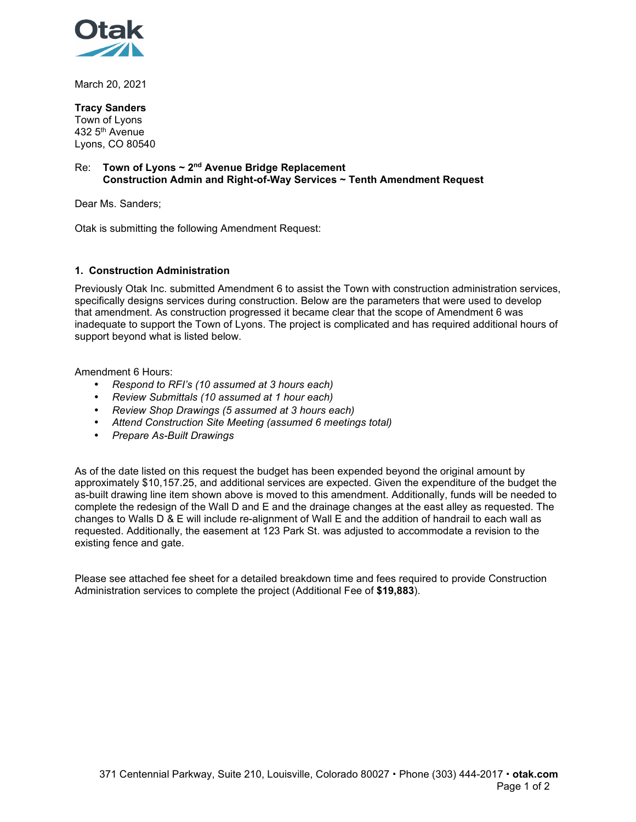

March 20, 2021

## **Tracy Sanders**

Town of Lyons 432 5th Avenue Lyons, CO 80540

## Re: **Town of Lyons ~ 2nd Avenue Bridge Replacement Construction Admin and Right-of-Way Services ~ Tenth Amendment Request**

Dear Ms. Sanders;

Otak is submitting the following Amendment Request:

## **1. Construction Administration**

Previously Otak Inc. submitted Amendment 6 to assist the Town with construction administration services, specifically designs services during construction. Below are the parameters that were used to develop that amendment. As construction progressed it became clear that the scope of Amendment 6 was inadequate to support the Town of Lyons. The project is complicated and has required additional hours of support beyond what is listed below.

Amendment 6 Hours:

- *Respond to RFI's (10 assumed at 3 hours each)*
- *Review Submittals (10 assumed at 1 hour each)*
- *Review Shop Drawings (5 assumed at 3 hours each)*
- *Attend Construction Site Meeting (assumed 6 meetings total)*
- *Prepare As-Built Drawings*

As of the date listed on this request the budget has been expended beyond the original amount by approximately \$10,157.25, and additional services are expected. Given the expenditure of the budget the as-built drawing line item shown above is moved to this amendment. Additionally, funds will be needed to complete the redesign of the Wall D and E and the drainage changes at the east alley as requested. The changes to Walls D & E will include re-alignment of Wall E and the addition of handrail to each wall as requested. Additionally, the easement at 123 Park St. was adjusted to accommodate a revision to the existing fence and gate.

Please see attached fee sheet for a detailed breakdown time and fees required to provide Construction Administration services to complete the project (Additional Fee of **\$19,883**).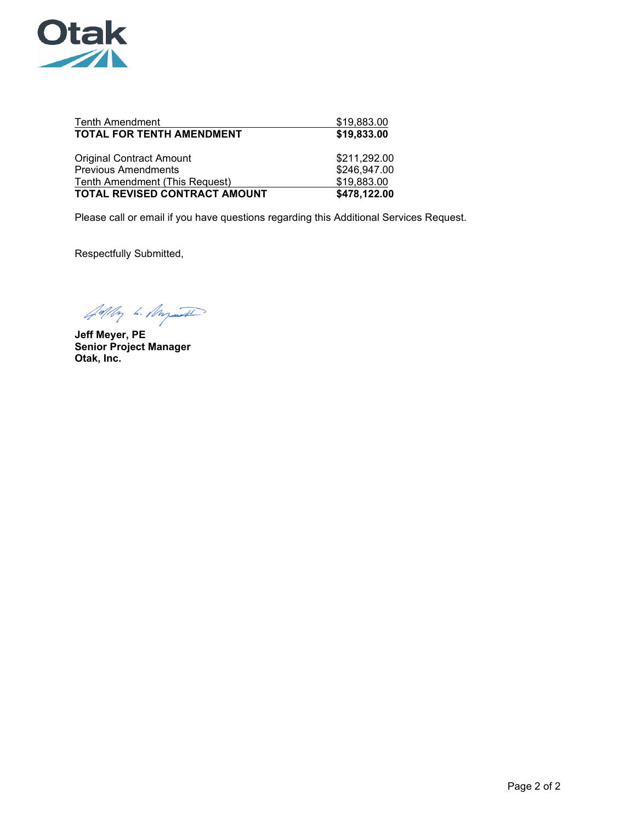

| <b>Tenth Amendment</b><br><b>TOTAL FOR TENTH AMENDMENT</b> | \$19,883.00<br>\$19,833.00 |  |  |  |  |  |
|------------------------------------------------------------|----------------------------|--|--|--|--|--|
| <b>Original Contract Amount</b>                            | \$211,292.00               |  |  |  |  |  |
| <b>Previous Amendments</b>                                 | \$246,947.00               |  |  |  |  |  |
| Tenth Amendment (This Request)                             | \$19,883.00                |  |  |  |  |  |
| TOTAL REVISED CONTRACT AMOUNT                              | \$478,122.00               |  |  |  |  |  |

Please call or email if you have questions regarding this Additional Services Request.

Respectfully Submitted,

Adly h. Myst

**Jeff Meyer, PE Senior Project Manager Otak, Inc.**